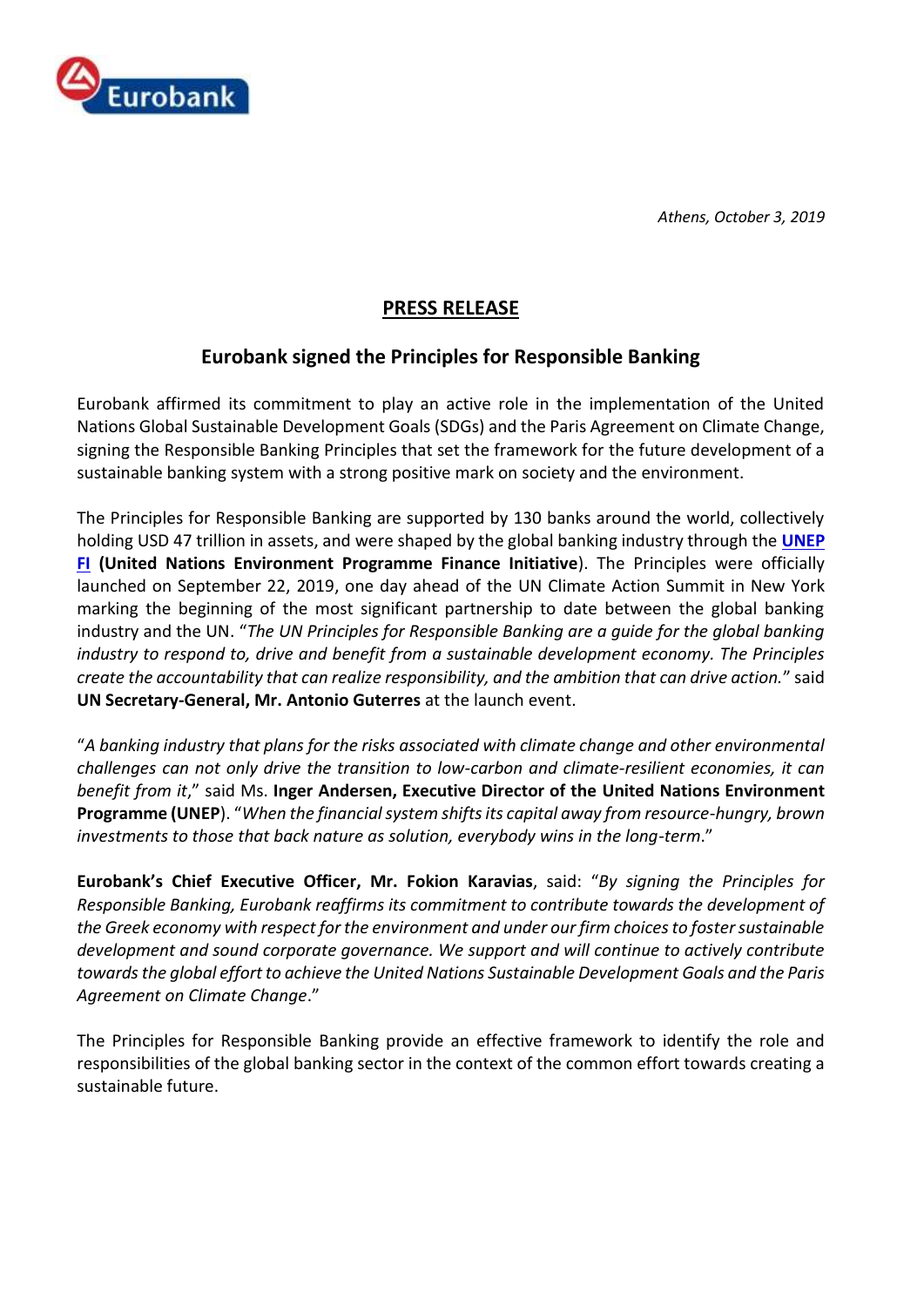

*Athens, October 3, 2019*

## **PRESS RELEASE**

## **Eurobank signed the Principles for Responsible Banking**

Eurobank affirmed its commitment to play an active role in the implementation of the United Nations Global Sustainable Development Goals (SDGs) and the Paris Agreement on Climate Change, signing the Responsible Banking Principles that set the framework for the future development of a sustainable banking system with a strong positive mark on society and the environment.

The Principles for Responsible Banking are supported by 130 banks around the world, collectively holding USD 47 trillion in assets, and were shaped by the global banking industry through the **[UNEP](https://www.unepfi.org/)  [FI](https://www.unepfi.org/) (United Nations Environment Programme Finance Initiative**). The Principles were officially launched on September 22, 2019, one day ahead of the UN Climate Action Summit in New York marking the beginning of the most significant partnership to date between the global banking industry and the UN. "*The UN Principles for Responsible Banking are a guide for the global banking industry to respond to, drive and benefit from a sustainable development economy. The Principles create the accountability that can realize responsibility, and the ambition that can drive action.*" said **UN Secretary-General, Mr. Antonio Guterres** at the launch event.

"*A banking industry that plans for the risks associated with climate change and other environmental challenges can not only drive the transition to low-carbon and climate-resilient economies, it can benefit from it*," said Ms. **Inger Andersen, Executive Director of the United Nations Environment Programme (UNEP**). "*When the financial system shifts its capital away from resource-hungry, brown investments to those that back nature as solution, everybody wins in the long-term*."

**Eurobank's Chief Executive Officer, Mr. Fokion Karavias**, said: "*By signing the Principles for Responsible Banking, Eurobank reaffirms its commitment to contribute towards the development of the Greek economy with respect for the environment and under our firm choices to foster sustainable development and sound corporate governance. We support and will continue to actively contribute towards the global effort to achieve the United Nations Sustainable Development Goals and the Paris Agreement on Climate Change*."

The Principles for Responsible Banking provide an effective framework to identify the role and responsibilities of the global banking sector in the context of the common effort towards creating a sustainable future.